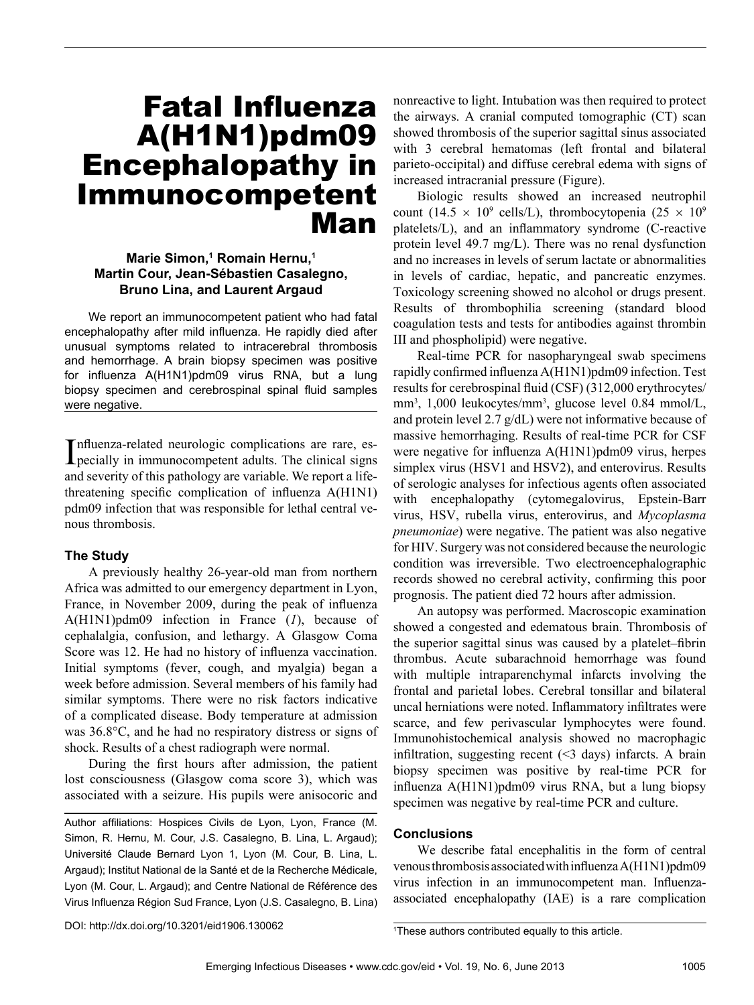### Fatal Influenza A(H1N1)pdm09 Encephalopathy in Immunocompetent Man

#### **Marie Simon,1 Romain Hernu,1 Martin Cour, Jean-Sébastien Casalegno, Bruno Lina, and Laurent Argaud**

We report an immunocompetent patient who had fatal encephalopathy after mild influenza. He rapidly died after unusual symptoms related to intracerebral thrombosis and hemorrhage. A brain biopsy specimen was positive for influenza A(H1N1)pdm09 virus RNA, but a lung biopsy specimen and cerebrospinal spinal fluid samples were negative.

Influenza-related neurologic complications are rare, es-<br>pecially in immunocompetent adults. The clinical signs pecially in immunocompetent adults. The clinical signs and severity of this pathology are variable. We report a lifethreatening specific complication of influenza A(H1N1) pdm09 infection that was responsible for lethal central venous thrombosis.

#### **The Study**

A previously healthy 26-year-old man from northern Africa was admitted to our emergency department in Lyon, France, in November 2009, during the peak of influenza A(H1N1)pdm09 infection in France (*1*), because of cephalalgia, confusion, and lethargy. A Glasgow Coma Score was 12. He had no history of influenza vaccination. Initial symptoms (fever, cough, and myalgia) began a week before admission. Several members of his family had similar symptoms. There were no risk factors indicative of a complicated disease. Body temperature at admission was 36.8°C, and he had no respiratory distress or signs of shock. Results of a chest radiograph were normal.

During the first hours after admission, the patient lost consciousness (Glasgow coma score 3), which was associated with a seizure. His pupils were anisocoric and

Author affiliations: Hospices Civils de Lyon, Lyon, France (M. Simon, R. Hernu, M. Cour, J.S. Casalegno, B. Lina, L. Argaud); Université Claude Bernard Lyon 1, Lyon (M. Cour, B. Lina, L. Argaud); Institut National de la Santé et de la Recherche Médicale, Lyon (M. Cour, L. Argaud); and Centre National de Référence des Virus Influenza Région Sud France, Lyon (J.S. Casalegno, B. Lina)

nonreactive to light. Intubation was then required to protect the airways. A cranial computed tomographic (CT) scan showed thrombosis of the superior sagittal sinus associated with 3 cerebral hematomas (left frontal and bilateral parieto-occipital) and diffuse cerebral edema with signs of increased intracranial pressure (Figure).

Biologic results showed an increased neutrophil count (14.5  $\times$  10<sup>9</sup> cells/L), thrombocytopenia (25  $\times$  10<sup>9</sup> platelets/L), and an inflammatory syndrome (C-reactive protein level 49.7 mg/L). There was no renal dysfunction and no increases in levels of serum lactate or abnormalities in levels of cardiac, hepatic, and pancreatic enzymes. Toxicology screening showed no alcohol or drugs present. Results of thrombophilia screening (standard blood coagulation tests and tests for antibodies against thrombin III and phospholipid) were negative.

Real-time PCR for nasopharyngeal swab specimens rapidly confirmed influenza A(H1N1)pdm09 infection. Test results for cerebrospinal fluid (CSF) (312,000 erythrocytes/ mm3 , 1,000 leukocytes/mm3 , glucose level 0.84 mmol/L, and protein level 2.7 g/dL) were not informative because of massive hemorrhaging. Results of real-time PCR for CSF were negative for influenza A(H1N1)pdm09 virus, herpes simplex virus (HSV1 and HSV2), and enterovirus. Results of serologic analyses for infectious agents often associated with encephalopathy (cytomegalovirus, Epstein-Barr virus, HSV, rubella virus, enterovirus, and *Mycoplasma pneumoniae*) were negative. The patient was also negative for HIV. Surgery was not considered because the neurologic condition was irreversible. Two electroencephalographic records showed no cerebral activity, confirming this poor prognosis. The patient died 72 hours after admission.

An autopsy was performed. Macroscopic examination showed a congested and edematous brain. Thrombosis of the superior sagittal sinus was caused by a platelet–fibrin thrombus. Acute subarachnoid hemorrhage was found with multiple intraparenchymal infarcts involving the frontal and parietal lobes. Cerebral tonsillar and bilateral uncal herniations were noted. Inflammatory infiltrates were scarce, and few perivascular lymphocytes were found. Immunohistochemical analysis showed no macrophagic infiltration, suggesting recent (<3 days) infarcts. A brain biopsy specimen was positive by real-time PCR for influenza A(H1N1)pdm09 virus RNA, but a lung biopsy specimen was negative by real-time PCR and culture.

#### **Conclusions**

We describe fatal encephalitis in the form of central venous thrombosis associated with influenza A(H1N1)pdm09 virus infection in an immunocompetent man. Influenzaassociated encephalopathy (IAE) is a rare complication

DOI: http://dx.doi.org/10.3201/eid1906.130062 <sup>1</sup>

<sup>&</sup>lt;sup>1</sup>These authors contributed equally to this article.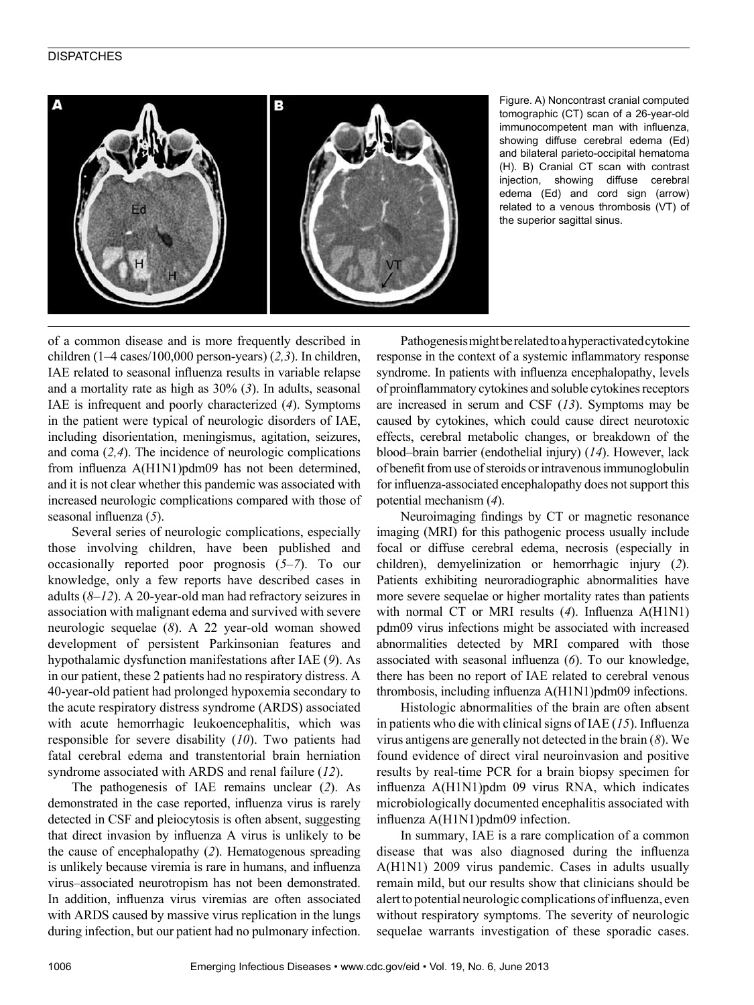#### **DISPATCHES**



Figure. A) Noncontrast cranial computed tomographic (CT) scan of a 26-year-old immunocompetent man with influenza, showing diffuse cerebral edema (Ed) and bilateral parieto-occipital hematoma (H). B) Cranial CT scan with contrast injection, showing diffuse cerebral edema (Ed) and cord sign (arrow) related to a venous thrombosis (VT) of the superior sagittal sinus.

of a common disease and is more frequently described in children (1–4 cases/100,000 person-years) (*2,3*). In children, IAE related to seasonal influenza results in variable relapse and a mortality rate as high as 30% (*3*). In adults, seasonal IAE is infrequent and poorly characterized (*4*). Symptoms in the patient were typical of neurologic disorders of IAE, including disorientation, meningismus, agitation, seizures, and coma (*2,4*). The incidence of neurologic complications from influenza A(H1N1)pdm09 has not been determined, and it is not clear whether this pandemic was associated with increased neurologic complications compared with those of seasonal influenza (*5*).

Several series of neurologic complications, especially those involving children, have been published and occasionally reported poor prognosis (*5–7*). To our knowledge, only a few reports have described cases in adults (*8–12*). A 20-year-old man had refractory seizures in association with malignant edema and survived with severe neurologic sequelae (*8*). A 22 year-old woman showed development of persistent Parkinsonian features and hypothalamic dysfunction manifestations after IAE (*9*). As in our patient, these 2 patients had no respiratory distress. A 40-year-old patient had prolonged hypoxemia secondary to the acute respiratory distress syndrome (ARDS) associated with acute hemorrhagic leukoencephalitis, which was responsible for severe disability (*10*). Two patients had fatal cerebral edema and transtentorial brain herniation syndrome associated with ARDS and renal failure (*12*).

The pathogenesis of IAE remains unclear (*2*). As demonstrated in the case reported, influenza virus is rarely detected in CSF and pleiocytosis is often absent, suggesting that direct invasion by influenza A virus is unlikely to be the cause of encephalopathy (*2*). Hematogenous spreading is unlikely because viremia is rare in humans, and influenza virus–associated neurotropism has not been demonstrated. In addition, influenza virus viremias are often associated with ARDS caused by massive virus replication in the lungs during infection, but our patient had no pulmonary infection.

Pathogenesis might be related to a hyperactivated cytokine response in the context of a systemic inflammatory response syndrome. In patients with influenza encephalopathy, levels of proinflammatory cytokines and soluble cytokines receptors are increased in serum and CSF (*13*). Symptoms may be caused by cytokines, which could cause direct neurotoxic effects, cerebral metabolic changes, or breakdown of the blood–brain barrier (endothelial injury) (*14*). However, lack of benefit from use of steroids or intravenous immunoglobulin for influenza-associated encephalopathy does not support this potential mechanism (*4*).

Neuroimaging findings by CT or magnetic resonance imaging (MRI) for this pathogenic process usually include focal or diffuse cerebral edema, necrosis (especially in children), demyelinization or hemorrhagic injury (*2*). Patients exhibiting neuroradiographic abnormalities have more severe sequelae or higher mortality rates than patients with normal CT or MRI results (*4*). Influenza A(H1N1) pdm09 virus infections might be associated with increased abnormalities detected by MRI compared with those associated with seasonal influenza (*6*). To our knowledge, there has been no report of IAE related to cerebral venous thrombosis, including influenza A(H1N1)pdm09 infections.

Histologic abnormalities of the brain are often absent in patients who die with clinical signs of IAE (*15*). Influenza virus antigens are generally not detected in the brain (*8*). We found evidence of direct viral neuroinvasion and positive results by real-time PCR for a brain biopsy specimen for influenza A(H1N1)pdm 09 virus RNA, which indicates microbiologically documented encephalitis associated with influenza A(H1N1)pdm09 infection.

In summary, IAE is a rare complication of a common disease that was also diagnosed during the influenza A(H1N1) 2009 virus pandemic. Cases in adults usually remain mild, but our results show that clinicians should be alert to potential neurologic complications of influenza, even without respiratory symptoms. The severity of neurologic sequelae warrants investigation of these sporadic cases.